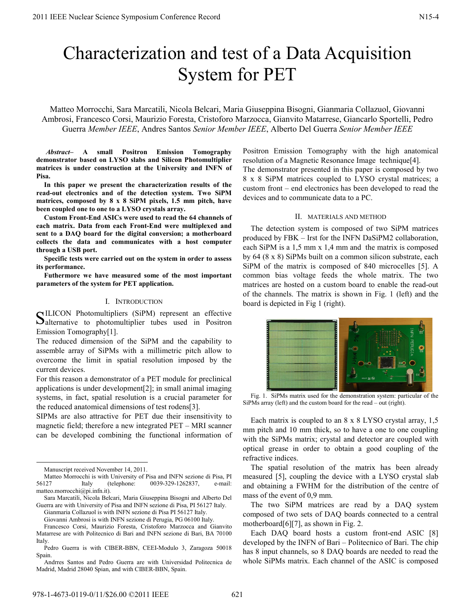# Characterization and test of a Data Acquisition System for PET

Matteo Morrocchi, Sara Marcatili, Nicola Belcari, Maria Giuseppina Bisogni, Gianmaria Collazuol, Giovanni Ambrosi, Francesco Corsi, Maurizio Foresta, Cristoforo Marzocca, Gianvito Matarrese, Giancarlo Sportelli, Pedro Guerra *Member IEEE*, Andres Santos *Senior Member IEEE*, Alberto Del Guerra *Senior Member IEEE*

 *Abstract–* **A small Positron Emission Tomography demonstrator based on LYSO slabs and Silicon Photomultiplier matrices is under construction at the University and INFN of Pisa.** 

**In this paper we present the characterization results of the read-out electronics and of the detection system. Two SiPM matrices, composed by 8 x 8 SiPM pixels, 1.5 mm pitch, have been coupled one to one to a LYSO crystals array.** 

**Custom Front-End ASICs were used to read the 64 channels of each matrix. Data from each Front-End were multiplexed and sent to a DAQ board for the digital conversion; a motherboard collects the data and communicates with a host computer through a USB port.** 

**Specific tests were carried out on the system in order to assess its performance.** 

**Futhermore we have measured some of the most important parameters of the system for PET application.** 

### I. INTRODUCTION

ILICON Photomultipliers (SiPM) represent an effective SILICON Photomultipliers (SiPM) represent an effective Salternative to photomultiplier tubes used in Positron Emission Tomography[1].

The reduced dimension of the SiPM and the capability to assemble array of SiPMs with a millimetric pitch allow to overcome the limit in spatial resolution imposed by the current devices.

For this reason a demonstrator of a PET module for preclinical applications is under development[2]; in small animal imaging systems, in fact, spatial resolution is a crucial parameter for the reduced anatomical dimensions of test rodens[3].

SIPMs are also attractive for PET due their insensitivity to magnetic field; therefore a new integrated PET – MRI scanner can be developed combining the functional information of Positron Emission Tomography with the high anatomical resolution of a Magnetic Resonance Image technique[4]. The demonstrator presented in this paper is composed by two 8 x 8 SiPM matrices coupled to LYSO crystal matrices; a custom front – end electronics has been developed to read the devices and to communicate data to a PC.

### II. MATERIALS AND METHOD

The detection system is composed of two SiPM matrices produced by FBK – Irst for the INFN DaSiPM2 collaboration, each SiPM is a 1,5 mm x 1,4 mm and the matrix is composed by 64 (8 x 8) SiPMs built on a common silicon substrate, each SiPM of the matrix is composed of 840 microcelles [5]. A common bias voltage feeds the whole matrix. The two matrices are hosted on a custom board to enable the read-out of the channels. The matrix is shown in Fig. 1 (left) and the board is depicted in Fig 1 (right).



Fig. 1. SiPMs matrix used for the demonstration system: particular of the SiPMs array (left) and the custom board for the read – out (right).

Each matrix is coupled to an 8 x 8 LYSO crystal array, 1,5 mm pitch and 10 mm thick, so to have a one to one coupling with the SiPMs matrix; crystal and detector are coupled with optical grease in order to obtain a good coupling of the refractive indices.

The spatial resolution of the matrix has been already measured [5], coupling the device with a LYSO crystal slab and obtaining a FWHM for the distribution of the centre of mass of the event of 0,9 mm.

The two SiPM matrices are read by a DAQ system composed of two sets of DAQ boards connected to a central motherboard[6][7], as shown in Fig. 2.

Each DAQ board hosts a custom front-end ASIC [8] developed by the INFN of Bari – Politecnico of Bari. The chip has 8 input channels, so 8 DAQ boards are needed to read the whole SiPMs matrix. Each channel of the ASIC is composed

Manuscript received November 14, 2011.

Matteo Morrocchi is with University of Pisa and INFN sezione di Pisa, PI 56127 Italy (telephone: 0039-329-1262837, e-mail: matteo.morrocchi@pi.infn.it).

Sara Marcatili, Nicola Belcari, Maria Giuseppina Bisogni and Alberto Del Guerra are with University of Pisa and INFN sezione di Pisa, PI 56127 Italy.

Gianmaria Collazuol is with INFN sezione di Pisa PI 56127 Italy.

Giovanni Ambrosi is with INFN sezione di Perugia, PG 06100 Italy.

Francesco Corsi, Maurizio Foresta, Cristoforo Marzocca and Gianvito Matarrese are with Politecnico di Bari and INFN sezione di Bari, BA 70100 Italy.

Pedro Guerra is with CIBER-BBN, CEEI-Modulo 3, Zaragoza 50018 Spain.

Andrres Santos and Pedro Guerra are with Universidad Politecnica de Madrid, Madrid 28040 Spian, and with CIBER-BBN, Spain.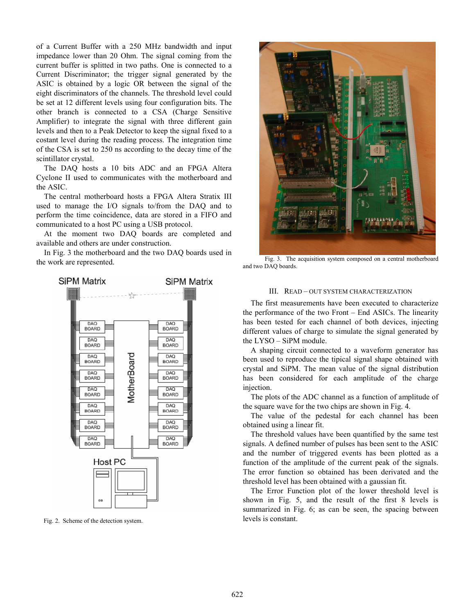of a Current Buffer with a 250 MHz bandwidth and input impedance lower than 20 Ohm. The signal coming from the current buffer is splitted in two paths. One is connected to a Current Discriminator; the trigger signal generated by the ASIC is obtained by a logic OR between the signal of the eight discriminators of the channels. The threshold level could be set at 12 different levels using four configuration bits. The other branch is connected to a CSA (Charge Sensitive Amplifier) to integrate the signal with three different gain levels and then to a Peak Detector to keep the signal fixed to a costant level during the reading process. The integration time of the CSA is set to 250 ns according to the decay time of the scintillator crystal.

The DAQ hosts a 10 bits ADC and an FPGA Altera Cyclone II used to communicates with the motherboard and the ASIC.

The central motherboard hosts a FPGA Altera Stratix III used to manage the I/O signals to/from the DAQ and to perform the time coincidence, data are stored in a FIFO and communicated to a host PC using a USB protocol.

At the moment two DAQ boards are completed and available and others are under construction.

In Fig. 3 the motherboard and the two DAQ boards used in the work are represented.



Fig. 2. Scheme of the detection system.



Fig. 3. The acquisition system composed on a central motherboard and two DAQ boards.

### III. READ – OUT SYSTEM CHARACTERIZATION

The first measurements have been executed to characterize the performance of the two Front – End ASICs. The linearity has been tested for each channel of both devices, injecting different values of charge to simulate the signal generated by the LYSO – SiPM module.

A shaping circuit connected to a waveform generator has been used to reproduce the tipical signal shape obtained with crystal and SiPM. The mean value of the signal distribution has been considered for each amplitude of the charge injection.

The plots of the ADC channel as a function of amplitude of the square wave for the two chips are shown in Fig. 4.

The value of the pedestal for each channel has been obtained using a linear fit.

The threshold values have been quantified by the same test signals. A defined number of pulses has been sent to the ASIC and the number of triggered events has been plotted as a function of the amplitude of the current peak of the signals. The error function so obtained has been derivated and the threshold level has been obtained with a gaussian fit.

The Error Function plot of the lower threshold level is shown in Fig. 5, and the result of the first 8 levels is summarized in Fig. 6; as can be seen, the spacing between levels is constant.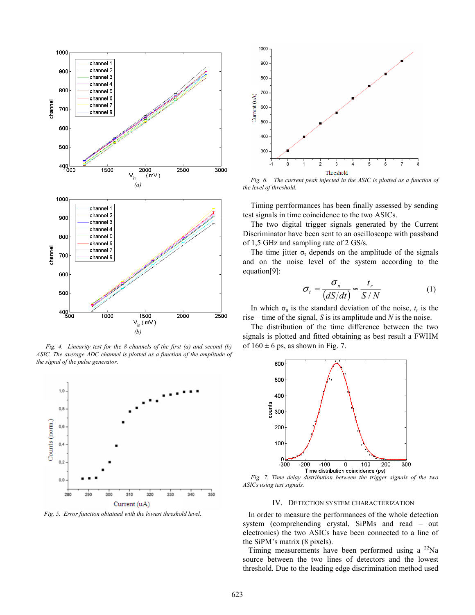

 *Fig. 4. Linearity test for the 8 channels of the first (a) and second (b) ASIC. The average ADC channel is plotted as a function of the amplitude of the signal of the pulse generator.* 



*Fig. 5. Error function obtained with the lowest threshold level.* 



*Fig. 6. The current peak injected in the ASIC is plotted as a function of the level of threshold.*

Timing perrformances has been finally assessed by sending test signals in time coincidence to the two ASICs.

The two digital trigger signals generated by the Current Discriminator have been sent to an oscilloscope with passband of 1,5 GHz and sampling rate of 2 GS/s.

The time jitter  $\sigma_t$  depends on the amplitude of the signals and on the noise level of the system according to the equation[9]:

$$
\sigma_t = \frac{\sigma_n}{(dS/dt)} \approx \frac{t_r}{S/N} \tag{1}
$$

In which  $\sigma_n$  is the standard deviation of the noise,  $t_r$  is the rise – time of the signal, *S* is its amplitude and *N* is the noise.

The distribution of the time difference between the two signals is plotted and fitted obtaining as best result a FWHM of  $160 \pm 6$  ps, as shown in Fig. 7.



*Fig. 7. Time delay distribution between the trigger signals of the two ASICs using test signals.*

## IV. DETECTION SYSTEM CHARACTERIZATION

In order to measure the performances of the whole detection system (comprehending crystal, SiPMs and read – out electronics) the two ASICs have been connected to a line of the SiPM's matrix (8 pixels).

Timing measurements have been performed using a  $^{22}$ Na source between the two lines of detectors and the lowest threshold. Due to the leading edge discrimination method used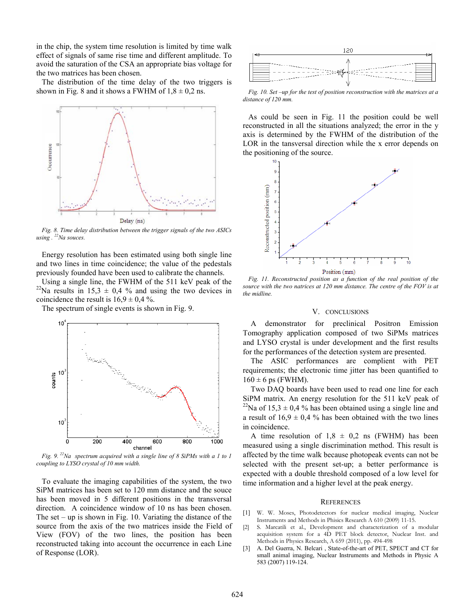in the chip, the system time resolution is limited by time walk effect of signals of same rise time and different amplitude. To avoid the saturation of the CSA an appropriate bias voltage for the two matrices has been chosen.

The distribution of the time delay of the two triggers is shown in Fig. 8 and it shows a FWHM of  $1,8 \pm 0,2$  ns.



*Fig. 8. Time delay distribution between the trigger signals of the two ASICs using . 22Na souces.*

Energy resolution has been estimated using both single line and two lines in time coincidence; the value of the pedestals previously founded have been used to calibrate the channels.

Using a single line, the FWHM of the 511 keV peak of the <sup>22</sup>Na results in 15,3  $\pm$  0,4 % and using the two devices in coincidence the result is  $16.9 \pm 0.4$ %.

The spectrum of single events is shown in Fig. 9.



*Fig. 9. 22Na spectrum acquired with a single line of 8 SiPMs with a 1 to 1 coupling to LYSO crystal of 10 mm width.* 

To evaluate the imaging capabilities of the system, the two SiPM matrices has been set to 120 mm distance and the souce has been moved in 5 different positions in the transversal direction. A coincidence window of 10 ns has been chosen. The set – up is shown in Fig. 10. Variating the distance of the source from the axis of the two matrices inside the Field of View (FOV) of the two lines, the position has been reconstructed taking into account the occurrence in each Line of Response (LOR).



*Fig. 10. Set –up for the test of position reconstruction with the matrices at a distance of 120 mm.*

As could be seen in Fig. 11 the position could be well reconstructed in all the situations analyzed; the error in the y axis is determined by the FWHM of the distribution of the LOR in the tansversal direction while the x error depends on the positioning of the source.



Fig. 11. Reconstructed position as a function of the real position of the *source with the two natrices at 120 mm distance. The centre of the FOV is at the midline.* 

#### V. CONCLUSIONS

A demonstrator for preclinical Positron Emission Tomography application composed of two SiPMs matrices and LYSO crystal is under development and the first results for the performances of the detection system are presented.

The ASIC performances are complient with PET requirements; the electronic time jitter has been quantified to  $160 \pm 6$  ps (FWHM).

Two DAQ boards have been used to read one line for each SiPM matrix. An energy resolution for the 511 keV peak of <sup>22</sup>Na of 15,3  $\pm$  0,4 % has been obtained using a single line and a result of  $16.9 \pm 0.4$  % has been obtained with the two lines in coincidence.

A time resolution of  $1,8 \pm 0,2$  ns (FWHM) has been measured using a single discrimination method. This result is affected by the time walk because photopeak events can not be selected with the present set-up; a better performance is expected with a double threshold composed of a low level for time information and a higher level at the peak energy.

#### **REFERENCES**

- [1] W. W. Moses, Photodetectors for nuclear medical imaging, Nuclear Instruments and Methods in Phisics Research A 610 (2009) 11-15.
- [2] S. Marcatili et al., Development and characterization of a modular acquisition system for a 4D PET block detector, Nuclear Inst. and Methods in Physics Research, A 659 (2011), pp. 494-498
- [3] A. Del Guerra, N. Belcari, State-of-the-art of PET, SPECT and CT for small animal imaging, Nuclear Instruments and Methods in Physic A 583 (2007) 119-124.